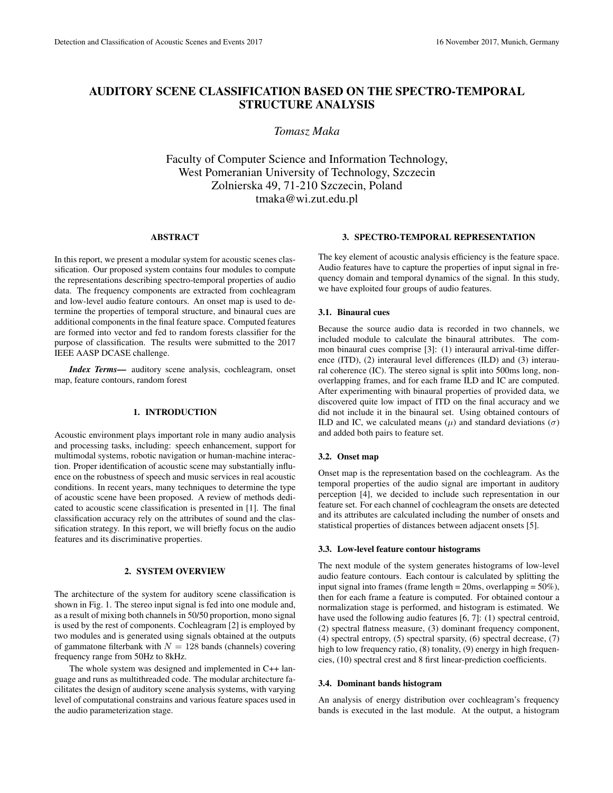# AUDITORY SCENE CLASSIFICATION BASED ON THE SPECTRO-TEMPORAL STRUCTURE ANALYSIS

*Tomasz Maka*

Faculty of Computer Science and Information Technology, West Pomeranian University of Technology, Szczecin Zolnierska 49, 71-210 Szczecin, Poland tmaka@wi.zut.edu.pl

#### ABSTRACT

In this report, we present a modular system for acoustic scenes classification. Our proposed system contains four modules to compute the representations describing spectro-temporal properties of audio data. The frequency components are extracted from cochleagram and low-level audio feature contours. An onset map is used to determine the properties of temporal structure, and binaural cues are additional components in the final feature space. Computed features are formed into vector and fed to random forests classifier for the purpose of classification. The results were submitted to the 2017 IEEE AASP DCASE challenge.

*Index Terms*— auditory scene analysis, cochleagram, onset map, feature contours, random forest

### 1. INTRODUCTION

Acoustic environment plays important role in many audio analysis and processing tasks, including: speech enhancement, support for multimodal systems, robotic navigation or human-machine interaction. Proper identification of acoustic scene may substantially influence on the robustness of speech and music services in real acoustic conditions. In recent years, many techniques to determine the type of acoustic scene have been proposed. A review of methods dedicated to acoustic scene classification is presented in [1]. The final classification accuracy rely on the attributes of sound and the classification strategy. In this report, we will briefly focus on the audio features and its discriminative properties.

#### 2. SYSTEM OVERVIEW

The architecture of the system for auditory scene classification is shown in Fig. 1. The stereo input signal is fed into one module and, as a result of mixing both channels in 50/50 proportion, mono signal is used by the rest of components. Cochleagram [2] is employed by two modules and is generated using signals obtained at the outputs of gammatone filterbank with  $N = 128$  bands (channels) covering frequency range from 50Hz to 8kHz.

The whole system was designed and implemented in C++ language and runs as multithreaded code. The modular architecture facilitates the design of auditory scene analysis systems, with varying level of computational constrains and various feature spaces used in the audio parameterization stage.

### 3. SPECTRO-TEMPORAL REPRESENTATION

The key element of acoustic analysis efficiency is the feature space. Audio features have to capture the properties of input signal in frequency domain and temporal dynamics of the signal. In this study, we have exploited four groups of audio features.

### 3.1. Binaural cues

Because the source audio data is recorded in two channels, we included module to calculate the binaural attributes. The common binaural cues comprise [3]: (1) interaural arrival-time difference (ITD), (2) interaural level differences (ILD) and (3) interaural coherence (IC). The stereo signal is split into 500ms long, nonoverlapping frames, and for each frame ILD and IC are computed. After experimenting with binaural properties of provided data, we discovered quite low impact of ITD on the final accuracy and we did not include it in the binaural set. Using obtained contours of ILD and IC, we calculated means  $(\mu)$  and standard deviations  $(\sigma)$ and added both pairs to feature set.

#### 3.2. Onset map

Onset map is the representation based on the cochleagram. As the temporal properties of the audio signal are important in auditory perception [4], we decided to include such representation in our feature set. For each channel of cochleagram the onsets are detected and its attributes are calculated including the number of onsets and statistical properties of distances between adjacent onsets [5].

#### 3.3. Low-level feature contour histograms

The next module of the system generates histograms of low-level audio feature contours. Each contour is calculated by splitting the input signal into frames (frame length = 20ms, overlapping = 50%), then for each frame a feature is computed. For obtained contour a normalization stage is performed, and histogram is estimated. We have used the following audio features [6, 7]: (1) spectral centroid, (2) spectral flatness measure, (3) dominant frequency component, (4) spectral entropy, (5) spectral sparsity, (6) spectral decrease, (7) high to low frequency ratio, (8) tonality, (9) energy in high frequencies, (10) spectral crest and 8 first linear-prediction coefficients.

#### 3.4. Dominant bands histogram

An analysis of energy distribution over cochleagram's frequency bands is executed in the last module. At the output, a histogram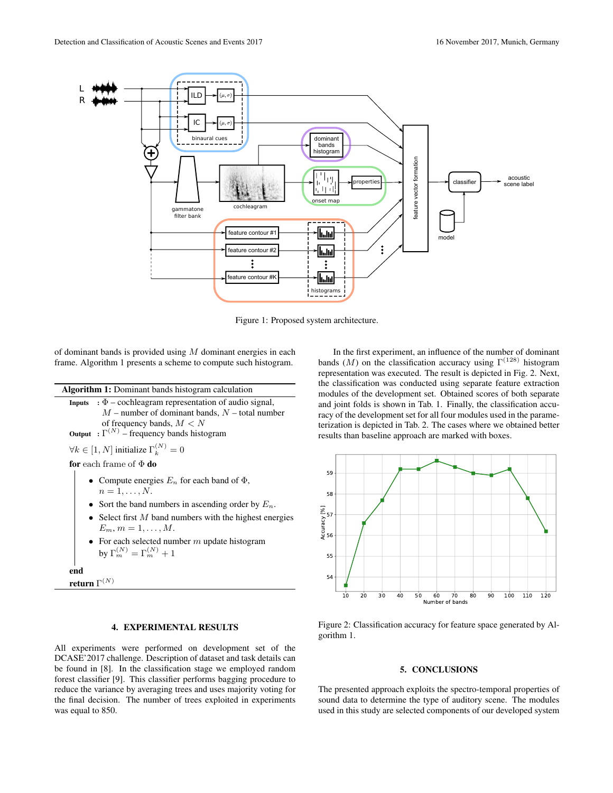

Figure 1: Proposed system architecture.

of dominant bands is provided using  $M$  dominant energies in each frame. Algorithm 1 presents a scheme to compute such histogram.

| <b>Algorithm 1:</b> Dominant bands histogram calculation                                                                                                                                                                                                                                                            |  |  |  |  |  |
|---------------------------------------------------------------------------------------------------------------------------------------------------------------------------------------------------------------------------------------------------------------------------------------------------------------------|--|--|--|--|--|
| <b>Inputs</b> : $\Phi$ – cochleagram representation of audio signal,<br>$M$ – number of dominant bands, $N$ – total number<br>of frequency bands, $M < N$<br><b>Output</b> : $\Gamma^{(N)}$ – frequency bands histogram                                                                                             |  |  |  |  |  |
| $\forall k \in [1, N]$ initialize $\Gamma_k^{(N)} = 0$                                                                                                                                                                                                                                                              |  |  |  |  |  |
| <b>for</b> each frame of $\Phi$ <b>do</b>                                                                                                                                                                                                                                                                           |  |  |  |  |  |
| Compute energies $E_n$ for each band of $\Phi$ ,<br>$n=1,\ldots,N$ .<br>• Sort the band numbers in ascending order by $E_n$ .<br>• Select first $M$ band numbers with the highest energies<br>$E_m, m = 1, \ldots, M.$<br>• For each selected number m update histogram<br>by $\Gamma_m^{(N)} = \Gamma_m^{(N)} + 1$ |  |  |  |  |  |
| end                                                                                                                                                                                                                                                                                                                 |  |  |  |  |  |
| return $\Gamma^{(N)}$                                                                                                                                                                                                                                                                                               |  |  |  |  |  |

## 4. EXPERIMENTAL RESULTS

All experiments were performed on development set of the DCASE'2017 challenge. Description of dataset and task details can be found in [8]. In the classification stage we employed random forest classifier [9]. This classifier performs bagging procedure to reduce the variance by averaging trees and uses majority voting for the final decision. The number of trees exploited in experiments was equal to 850.

In the first experiment, an influence of the number of dominant bands (M) on the classification accuracy using  $\Gamma^{(128)}$  histogram representation was executed. The result is depicted in Fig. 2. Next, the classification was conducted using separate feature extraction modules of the development set. Obtained scores of both separate and joint folds is shown in Tab. 1. Finally, the classification accuracy of the development set for all four modules used in the parameterization is depicted in Tab. 2. The cases where we obtained better results than baseline approach are marked with boxes.



Figure 2: Classification accuracy for feature space generated by Algorithm 1.

### 5. CONCLUSIONS

The presented approach exploits the spectro-temporal properties of sound data to determine the type of auditory scene. The modules used in this study are selected components of our developed system